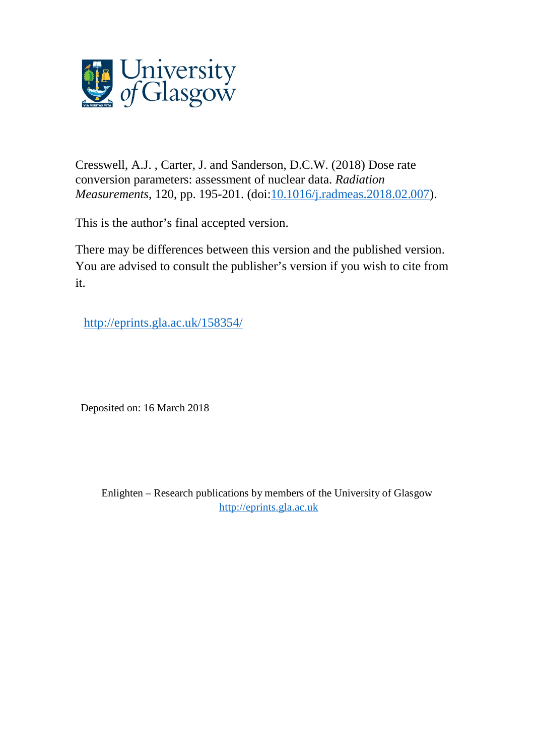

Cresswell, A.J. , Carter, J. and Sanderson, D.C.W. (2018) Dose rate conversion parameters: assessment of nuclear data. *Radiation Measurements*, 120, pp. 195-201. (doi[:10.1016/j.radmeas.2018.02.007\)](http://dx.doi.org/10.1016/j.radmeas.2018.02.007).

This is the author's final accepted version.

There may be differences between this version and the published version. You are advised to consult the publisher's version if you wish to cite from it.

<http://eprints.gla.ac.uk/158354/>

Deposited on: 16 March 2018

Enlighten – Research publications by members of the University of Glasgow [http://eprints.gla.ac.uk](http://eprints.gla.ac.uk/)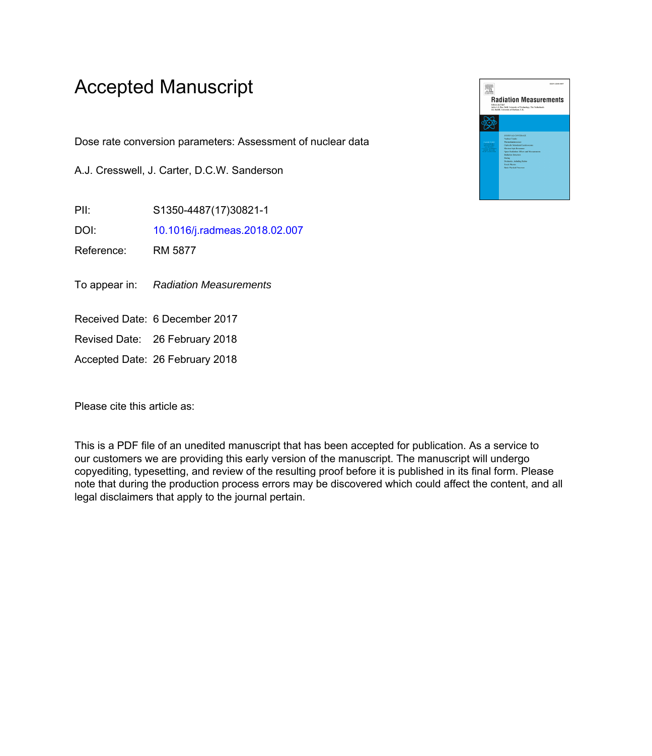# Accepted Manuscript

Dose rate conversion parameters: Assessment of nuclear data

A.J. Cresswell, J. Carter, D.C.W. Sanderson

PII: S1350-4487(17)30821-1

DOI: [10.1016/j.radmeas.2018.02.007](https://doi.org/10.1016/j.radmeas.2018.02.007)

Reference: RM 5877

To appear in: Radiation Measurements

Received Date: 6 December 2017

Revised Date: 26 February 2018

Accepted Date: 26 February 2018

Please cite this article as:

This is a PDF file of an unedited manuscript that has been accepted for publication. As a service to our customers we are providing this early version of the manuscript. The manuscript will undergo copyediting, typesetting, and review of the resulting proof before it is published in its final form. Please note that during the production process errors may be discovered which could affect the content, and all legal disclaimers that apply to the journal pertain.

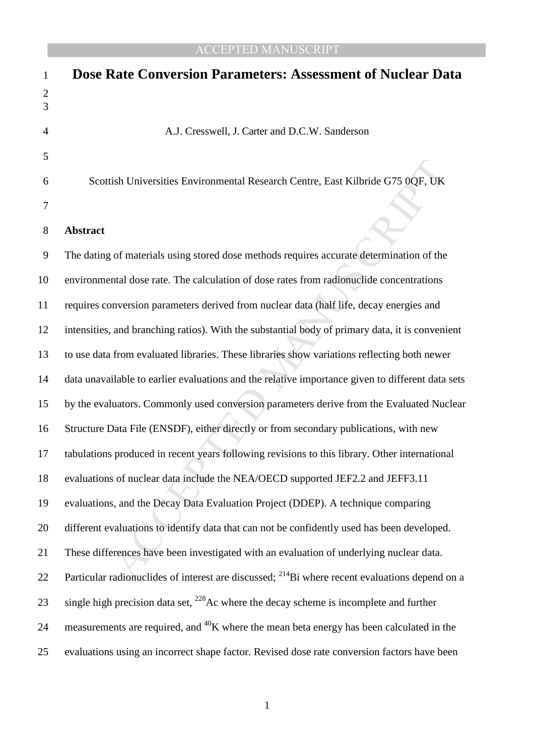| $\mathbf{1}$        | <b>Dose Rate Conversion Parameters: Assessment of Nuclear Data</b>                                         |
|---------------------|------------------------------------------------------------------------------------------------------------|
| $\overline{c}$<br>3 |                                                                                                            |
| $\overline{4}$      | A.J. Cresswell, J. Carter and D.C.W. Sanderson                                                             |
| 5                   |                                                                                                            |
| 6                   | Scottish Universities Environmental Research Centre, East Kilbride G75 0QF, UK                             |
| 7                   |                                                                                                            |
| 8                   | <b>Abstract</b>                                                                                            |
| 9                   | The dating of materials using stored dose methods requires accurate determination of the                   |
| 10                  | environmental dose rate. The calculation of dose rates from radionuclide concentrations                    |
| 11                  | requires conversion parameters derived from nuclear data (half life, decay energies and                    |
| 12                  | intensities, and branching ratios). With the substantial body of primary data, it is convenient            |
| 13                  | to use data from evaluated libraries. These libraries show variations reflecting both newer                |
| 14                  | data unavailable to earlier evaluations and the relative importance given to different data sets           |
| 15                  | by the evaluators. Commonly used conversion parameters derive from the Evaluated Nuclear                   |
| 16                  | Structure Data File (ENSDF), either directly or from secondary publications, with new                      |
| 17                  | tabulations produced in recent years following revisions to this library. Other international              |
| 18                  | evaluations of nuclear data include the NEA/OECD supported JEF2.2 and JEFF3.11                             |
| 19                  | evaluations, and the Decay Data Evaluation Project (DDEP). A technique comparing                           |
| 20                  | different evaluations to identify data that can not be confidently used has been developed.                |
| 21                  | These differences have been investigated with an evaluation of underlying nuclear data.                    |
| 22                  | Particular radionuclides of interest are discussed; <sup>214</sup> Bi where recent evaluations depend on a |
| 23                  | single high precision data set, $^{228}$ Ac where the decay scheme is incomplete and further               |
| 24                  | measurements are required, and <sup>40</sup> K where the mean beta energy has been calculated in the       |
| 25                  | evaluations using an incorrect shape factor. Revised dose rate conversion factors have been                |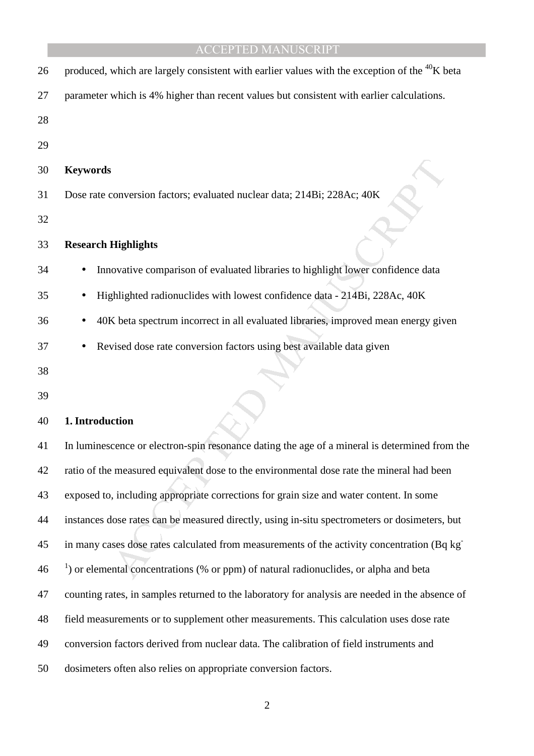| 26 | produced, which are largely consistent with earlier values with the exception of the <sup>40</sup> K beta |
|----|-----------------------------------------------------------------------------------------------------------|
| 27 | parameter which is 4% higher than recent values but consistent with earlier calculations.                 |
| 28 |                                                                                                           |
| 29 |                                                                                                           |
| 30 | <b>Keywords</b>                                                                                           |
| 31 | Dose rate conversion factors; evaluated nuclear data; 214Bi; 228Ac; 40K                                   |
| 32 |                                                                                                           |
| 33 | <b>Research Highlights</b>                                                                                |
| 34 | Innovative comparison of evaluated libraries to highlight lower confidence data                           |
| 35 | Highlighted radionuclides with lowest confidence data - 214Bi, 228Ac, 40K                                 |
| 36 | 40K beta spectrum incorrect in all evaluated libraries, improved mean energy given                        |
| 37 | Revised dose rate conversion factors using best available data given                                      |
| 38 |                                                                                                           |
| 39 |                                                                                                           |
| 40 | 1. Introduction                                                                                           |
| 41 | In luminescence or electron-spin resonance dating the age of a mineral is determined from the             |
| 42 | ratio of the measured equivalent dose to the environmental dose rate the mineral had been                 |
| 43 | exposed to, including appropriate corrections for grain size and water content. In some                   |
| 44 | instances dose rates can be measured directly, using in-situ spectrometers or dosimeters, but             |
| 45 | in many cases dose rates calculated from measurements of the activity concentration (Bq kg <sup>-</sup>   |
| 46 | $\alpha$ ) or elemental concentrations (% or ppm) of natural radionuclides, or alpha and beta             |
| 47 | counting rates, in samples returned to the laboratory for analysis are needed in the absence of           |

- 48 field measurements or to supplement other measurements. This calculation uses dose rate
- 49 conversion factors derived from nuclear data. The calibration of field instruments and
- 50 dosimeters often also relies on appropriate conversion factors.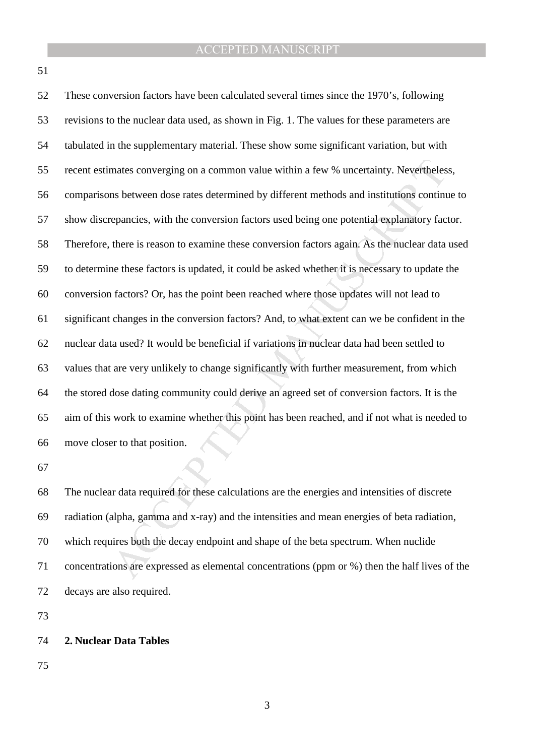51

mates converging on a common value within a few % uncertainty. Nevertheless<br>ns between dose rates determined by different methods and institutions continu<br>epancies, with the conversion factors used being one potential expl 52 These conversion factors have been calculated several times since the 1970's, following 53 revisions to the nuclear data used, as shown in Fig. 1. The values for these parameters are 54 tabulated in the supplementary material. These show some significant variation, but with 55 recent estimates converging on a common value within a few % uncertainty. Nevertheless, 56 comparisons between dose rates determined by different methods and institutions continue to 57 show discrepancies, with the conversion factors used being one potential explanatory factor. 58 Therefore, there is reason to examine these conversion factors again. As the nuclear data used 59 to determine these factors is updated, it could be asked whether it is necessary to update the 60 conversion factors? Or, has the point been reached where those updates will not lead to 61 significant changes in the conversion factors? And, to what extent can we be confident in the 62 nuclear data used? It would be beneficial if variations in nuclear data had been settled to 63 values that are very unlikely to change significantly with further measurement, from which 64 the stored dose dating community could derive an agreed set of conversion factors. It is the 65 aim of this work to examine whether this point has been reached, and if not what is needed to 66 move closer to that position.

67

68 The nuclear data required for these calculations are the energies and intensities of discrete 69 radiation (alpha, gamma and x-ray) and the intensities and mean energies of beta radiation, 70 which requires both the decay endpoint and shape of the beta spectrum. When nuclide 71 concentrations are expressed as elemental concentrations (ppm or %) then the half lives of the 72 decays are also required.

73

#### 74 **2. Nuclear Data Tables**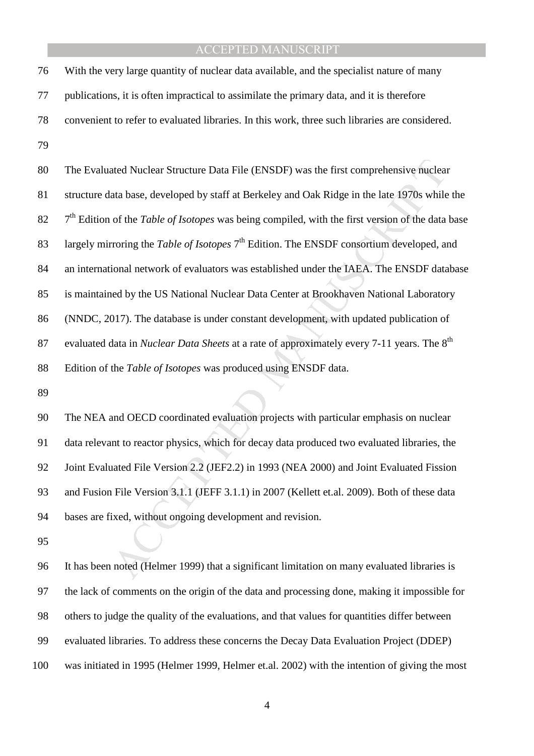76 With the very large quantity of nuclear data available, and the specialist nature of many 77 publications, it is often impractical to assimilate the primary data, and it is therefore 78 convenient to refer to evaluated libraries. In this work, three such libraries are considered. 79

ated Nuclear Structure Data File (ENSDF) was the first comprehensive nuclear<br>atta base, developed by staff at Berkeley and Oak Ridge in the late 1970s while<br>of the *Table of Isotopes* was being compiled, with the first ver 80 The Evaluated Nuclear Structure Data File (ENSDF) was the first comprehensive nuclear 81 structure data base, developed by staff at Berkeley and Oak Ridge in the late 1970s while the 82  $7<sup>th</sup>$  Edition of the *Table of Isotopes* was being compiled, with the first version of the data base 83 largely mirroring the *Table of Isotopes* 7<sup>th</sup> Edition. The ENSDF consortium developed, and 84 an international network of evaluators was established under the IAEA. The ENSDF database 85 is maintained by the US National Nuclear Data Center at Brookhaven National Laboratory 86 (NNDC, 2017). The database is under constant development, with updated publication of 87 evaluated data in *Nuclear Data Sheets* at a rate of approximately every 7-11 years. The 8<sup>th</sup> 88 Edition of the *Table of Isotopes* was produced using ENSDF data.

89

90 The NEA and OECD coordinated evaluation projects with particular emphasis on nuclear 91 data relevant to reactor physics, which for decay data produced two evaluated libraries, the 92 Joint Evaluated File Version 2.2 (JEF2.2) in 1993 (NEA 2000) and Joint Evaluated Fission 93 and Fusion File Version 3.1.1 (JEFF 3.1.1) in 2007 (Kellett et.al. 2009). Both of these data 94 bases are fixed, without ongoing development and revision.

95

96 It has been noted (Helmer 1999) that a significant limitation on many evaluated libraries is 97 the lack of comments on the origin of the data and processing done, making it impossible for 98 others to judge the quality of the evaluations, and that values for quantities differ between 99 evaluated libraries. To address these concerns the Decay Data Evaluation Project (DDEP) 100 was initiated in 1995 (Helmer 1999, Helmer et.al. 2002) with the intention of giving the most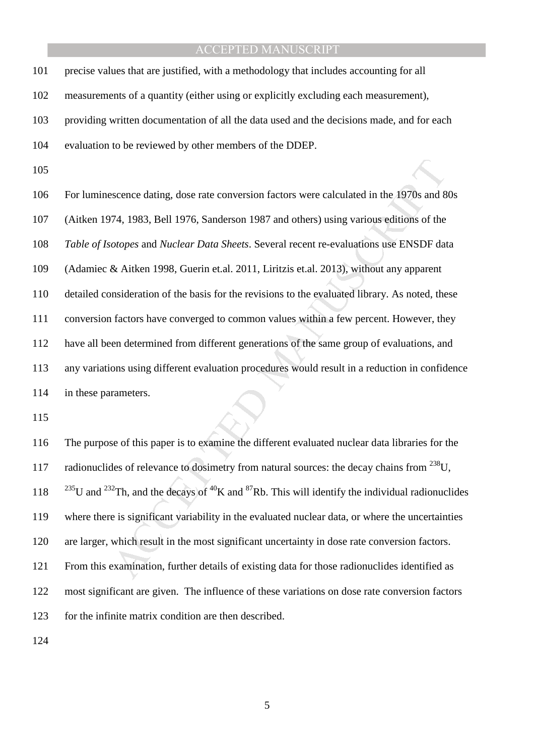101 precise values that are justified, with a methodology that includes accounting for all

102 measurements of a quantity (either using or explicitly excluding each measurement),

103 providing written documentation of all the data used and the decisions made, and for each

104 evaluation to be reviewed by other members of the DDEP.

105

scence dating, dose rate conversion factors were calculated in the 1970s and 74, 1983, Bell 1976, Sanderson 1987 and others) using various editions of the *otopes* and *Nuclear Data Sheets*. Several recent re-evaluations u 106 For luminescence dating, dose rate conversion factors were calculated in the 1970s and 80s 107 (Aitken 1974, 1983, Bell 1976, Sanderson 1987 and others) using various editions of the 108 *Table of Isotopes* and *Nuclear Data Sheets*. Several recent re-evaluations use ENSDF data 109 (Adamiec & Aitken 1998, Guerin et.al. 2011, Liritzis et.al. 2013), without any apparent 110 detailed consideration of the basis for the revisions to the evaluated library. As noted, these 111 conversion factors have converged to common values within a few percent. However, they 112 have all been determined from different generations of the same group of evaluations, and 113 any variations using different evaluation procedures would result in a reduction in confidence 114 in these parameters.

115

116 The purpose of this paper is to examine the different evaluated nuclear data libraries for the 117 radionuclides of relevance to dosimetry from natural sources: the decay chains from  $^{238}$ U, 118 <sup>235</sup>U and <sup>232</sup>Th, and the decays of <sup>40</sup>K and <sup>87</sup>Rb. This will identify the individual radionuclides 119 where there is significant variability in the evaluated nuclear data, or where the uncertainties 120 are larger, which result in the most significant uncertainty in dose rate conversion factors. 121 From this examination, further details of existing data for those radionuclides identified as 122 most significant are given. The influence of these variations on dose rate conversion factors 123 for the infinite matrix condition are then described.

124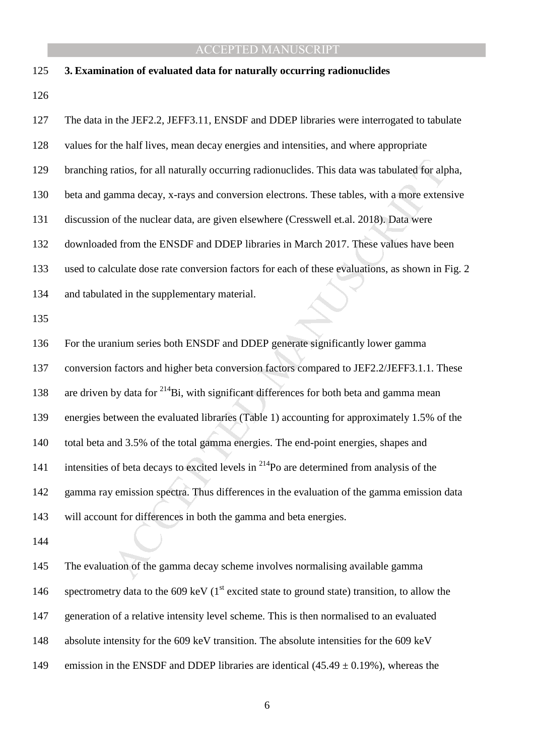| 125 | 3. Examination of evaluated data for naturally occurring radionuclides                                |
|-----|-------------------------------------------------------------------------------------------------------|
| 126 |                                                                                                       |
| 127 | The data in the JEF2.2, JEFF3.11, ENSDF and DDEP libraries were interrogated to tabulate              |
| 128 | values for the half lives, mean decay energies and intensities, and where appropriate                 |
| 129 | branching ratios, for all naturally occurring radionuclides. This data was tabulated for alpha,       |
| 130 | beta and gamma decay, x-rays and conversion electrons. These tables, with a more extensive            |
| 131 | discussion of the nuclear data, are given elsewhere (Cresswell et.al. 2018). Data were                |
| 132 | downloaded from the ENSDF and DDEP libraries in March 2017. These values have been                    |
| 133 | used to calculate dose rate conversion factors for each of these evaluations, as shown in Fig. 2      |
| 134 | and tabulated in the supplementary material.                                                          |
| 135 |                                                                                                       |
| 136 | For the uranium series both ENSDF and DDEP generate significantly lower gamma                         |
| 137 | conversion factors and higher beta conversion factors compared to JEF2.2/JEFF3.1.1. These             |
| 138 | are driven by data for <sup>214</sup> Bi, with significant differences for both beta and gamma mean   |
| 139 | energies between the evaluated libraries (Table 1) accounting for approximately 1.5% of the           |
| 140 | total beta and 3.5% of the total gamma energies. The end-point energies, shapes and                   |
| 141 | intensities of beta decays to excited levels in <sup>214</sup> Po are determined from analysis of the |
| 142 | gamma ray emission spectra. Thus differences in the evaluation of the gamma emission data             |
| 143 | will account for differences in both the gamma and beta energies.                                     |
| 144 |                                                                                                       |
| 145 | The evaluation of the gamma decay scheme involves normalising available gamma                         |

145 The evaluation of the gamma decay scheme involves normalising available gamma 146 spectrometry data to the 609 keV ( $1<sup>st</sup>$  excited state to ground state) transition, to allow the 147 generation of a relative intensity level scheme. This is then normalised to an evaluated 148 absolute intensity for the 609 keV transition. The absolute intensities for the 609 keV 149 emission in the ENSDF and DDEP libraries are identical  $(45.49 \pm 0.19\%)$ , whereas the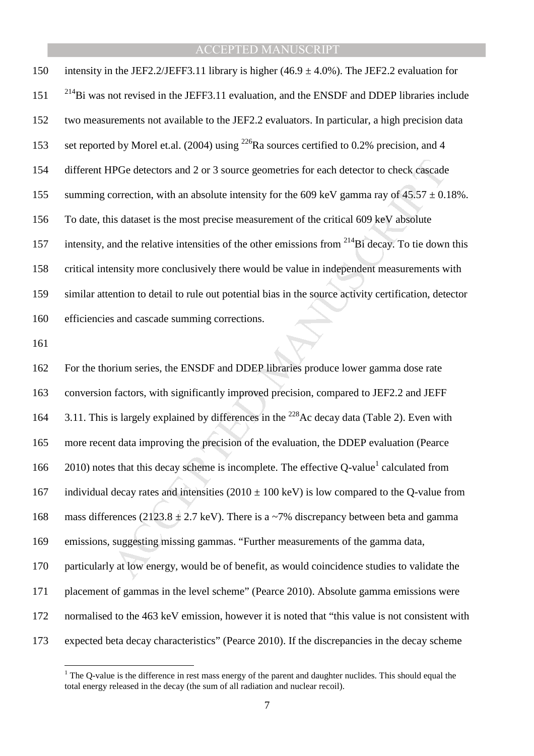150 intensity in the JEF2.2/JEFF3.11 library is higher  $(46.9 \pm 4.0\%)$ . The JEF2.2 evaluation for  $2^{14}$ Bi was not revised in the JEFF3.11 evaluation, and the ENSDF and DDEP libraries include 152 two measurements not available to the JEF2.2 evaluators. In particular, a high precision data 153 set reported by Morel et.al. (2004) using  $^{226}$ Ra sources certified to 0.2% precision, and 4 154 different HPGe detectors and 2 or 3 source geometries for each detector to check cascade 155 summing correction, with an absolute intensity for the 609 keV gamma ray of  $45.57 \pm 0.18$ %. 156 To date, this dataset is the most precise measurement of the critical 609 keV absolute 157 intensity, and the relative intensities of the other emissions from  $^{214}$ Bi decay. To tie down this 158 critical intensity more conclusively there would be value in independent measurements with 159 similar attention to detail to rule out potential bias in the source activity certification, detector 160 efficiencies and cascade summing corrections.

161

 $\overline{a}$ 

IPGe detectors and 2 or 3 source geometries for each detector to check cascade<br>correction, with an absolute intensity for the 609 keV gamma ray of 45.57 ± 0.<br>is dataset is the most precise measurement of the critical 609 162 For the thorium series, the ENSDF and DDEP libraries produce lower gamma dose rate 163 conversion factors, with significantly improved precision, compared to JEF2.2 and JEFF 164 3.11. This is largely explained by differences in the <sup>228</sup> Ac decay data (Table 2). Even with 165 more recent data improving the precision of the evaluation, the DDEP evaluation (Pearce 166  $2010$ ) notes that this decay scheme is incomplete. The effective Q-value<sup>1</sup> calculated from 167 individual decay rates and intensities  $(2010 \pm 100 \text{ keV})$  is low compared to the Q-value from 168 mass differences (2123.8  $\pm$  2.7 keV). There is a ~7% discrepancy between beta and gamma 169 emissions, suggesting missing gammas. "Further measurements of the gamma data, 170 particularly at low energy, would be of benefit, as would coincidence studies to validate the 171 placement of gammas in the level scheme" (Pearce 2010). Absolute gamma emissions were 172 normalised to the 463 keV emission, however it is noted that "this value is not consistent with 173 expected beta decay characteristics" (Pearce 2010). If the discrepancies in the decay scheme

<sup>&</sup>lt;sup>1</sup> The Q-value is the difference in rest mass energy of the parent and daughter nuclides. This should equal the total energy released in the decay (the sum of all radiation and nuclear recoil).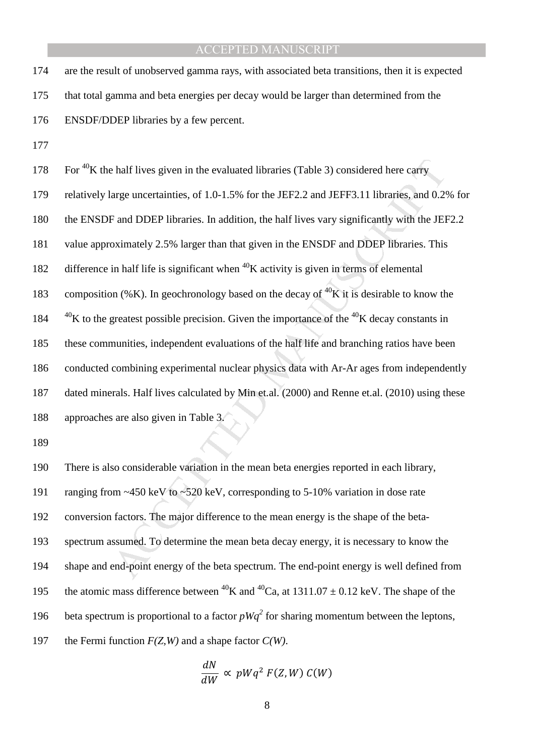174 are the result of unobserved gamma rays, with associated beta transitions, then it is expected 175 that total gamma and beta energies per decay would be larger than determined from the 176 ENSDF/DDEP libraries by a few percent.

177

be half lives given in the evaluated libraries (Table 3) considered here carry<br>arge uncertainties, of 1.0-1.5% for the JEF2.2 and JEFF3.11 libraries, and 0.29<br>F and DDEP libraries. In addition, the half lives vary signifi 178 For  $40$ K the half lives given in the evaluated libraries (Table 3) considered here carry 179 relatively large uncertainties, of 1.0-1.5% for the JEF2.2 and JEFF3.11 libraries, and 0.2% for 180 the ENSDF and DDEP libraries. In addition, the half lives vary significantly with the JEF2.2 181 value approximately 2.5% larger than that given in the ENSDF and DDEP libraries. This 182 difference in half life is significant when  ${}^{40}$ K activity is given in terms of elemental 183 composition (%K). In geochronology based on the decay of  ${}^{40}K$  it is desirable to know the  $184$   $^{40}$ K to the greatest possible precision. Given the importance of the  $^{40}$ K decay constants in 185 these communities, independent evaluations of the half life and branching ratios have been 186 conducted combining experimental nuclear physics data with Ar-Ar ages from independently 187 dated minerals. Half lives calculated by Min et.al. (2000) and Renne et.al. (2010) using these 188 approaches are also given in Table 3.

189

190 There is also considerable variation in the mean beta energies reported in each library, 191 ranging from ~450 keV to ~520 keV, corresponding to 5-10% variation in dose rate 192 conversion factors. The major difference to the mean energy is the shape of the beta-193 spectrum assumed. To determine the mean beta decay energy, it is necessary to know the 194 shape and end-point energy of the beta spectrum. The end-point energy is well defined from 195 the atomic mass difference between <sup>40</sup>K and <sup>40</sup>Ca, at 1311.07  $\pm$  0.12 keV. The shape of the 196 beta spectrum is proportional to a factor  $pWq^2$  for sharing momentum between the leptons, 197 the Fermi function *F(Z,W)* and a shape factor *C(W)*.

$$
\frac{dN}{dW} \propto pWq^2 F(Z, W) C(W)
$$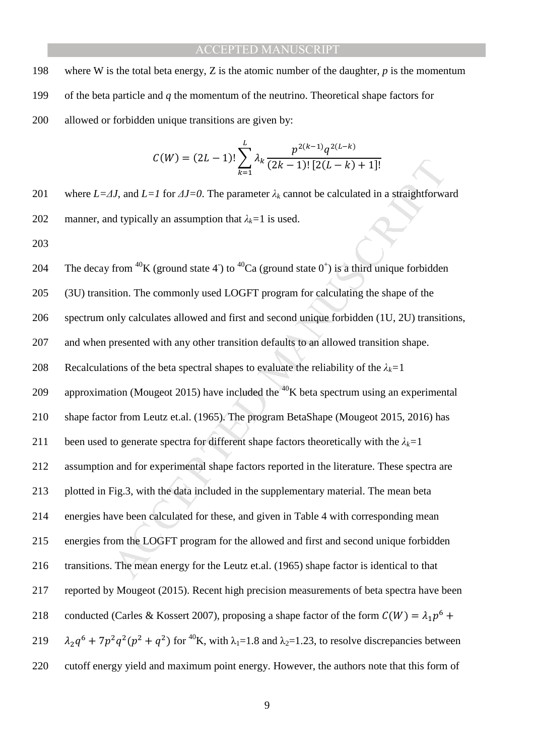198 where W is the total beta energy, Z is the atomic number of the daughter, *p* is the momentum 199 of the beta particle and *q* the momentum of the neutrino. Theoretical shape factors for 200 allowed or forbidden unique transitions are given by:

$$
C(W) = (2L - 1)! \sum_{k=1}^{L} \lambda_k \frac{p^{2(k-1)} q^{2(L-k)}}{(2k-1)! [2(L-k)+1]!}
$$

201 where *L=∆J*, and *L=1* for *∆J=0*. The parameter *λk* cannot be calculated in a straightforward 202 manner, and typically an assumption that  $\lambda_k = 1$  is used.

203

 $U(W) = (2L - 1)! \sum_{k=1}^{N_R} A_k \frac{(2k-1)! [2(L-k) + 1]!}{(2k-1)! [2(L-k) + 1]!}$ <br>
IJ, and  $L=I$  for  $JJ=0$ . The parameter  $\lambda_k$  cannot be calculated in a straightforward typically an assumption that  $\lambda_k = 1$  is used.<br>
from <sup>40</sup>K (ground st 204 The decay from <sup>40</sup>K (ground state 4) to <sup>40</sup>Ca (ground state 0<sup>+</sup>) is a third unique forbidden 205 (3U) transition. The commonly used LOGFT program for calculating the shape of the 206 spectrum only calculates allowed and first and second unique forbidden (1U, 2U) transitions, 207 and when presented with any other transition defaults to an allowed transition shape. 208 Recalculations of the beta spectral shapes to evaluate the reliability of the  $\lambda_k = 1$ 209 approximation (Mougeot 2015) have included the  $40<sup>K</sup>$  beta spectrum using an experimental 210 shape factor from Leutz et.al. (1965). The program BetaShape (Mougeot 2015, 2016) has 211 been used to generate spectra for different shape factors theoretically with the  $\lambda_k = 1$ 212 assumption and for experimental shape factors reported in the literature. These spectra are 213 plotted in Fig.3, with the data included in the supplementary material. The mean beta 214 energies have been calculated for these, and given in Table 4 with corresponding mean 215 energies from the LOGFT program for the allowed and first and second unique forbidden 216 transitions. The mean energy for the Leutz et.al. (1965) shape factor is identical to that 217 reported by Mougeot (2015). Recent high precision measurements of beta spectra have been 218 conducted (Carles & Kossert 2007), proposing a shape factor of the form  $C(W) = \lambda_1 p^6 +$ 219  $\lambda_2 q^6 + 7p^2 q^2 (p^2 + q^2)$  for <sup>40</sup>K, with  $\lambda_1 = 1.8$  and  $\lambda_2 = 1.23$ , to resolve discrepancies between 220 cutoff energy yield and maximum point energy. However, the authors note that this form of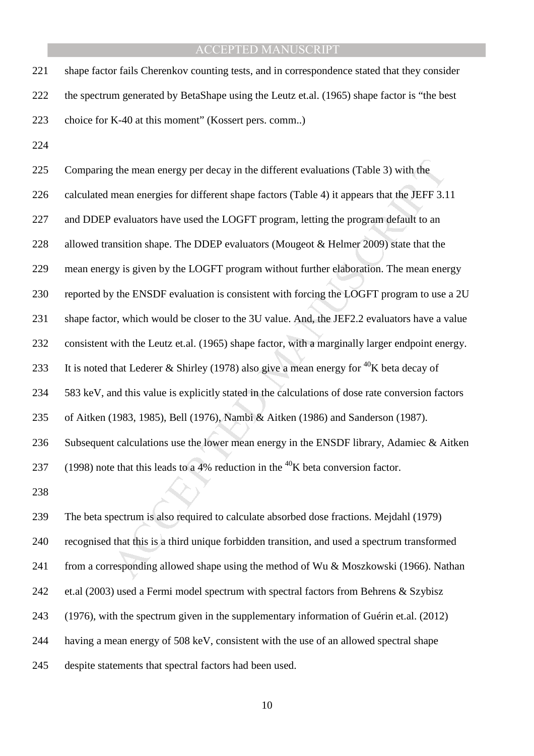221 shape factor fails Cherenkov counting tests, and in correspondence stated that they consider 222 the spectrum generated by BetaShape using the Leutz et.al. (1965) shape factor is "the best 223 choice for K-40 at this moment" (Kossert pers. comm..)

224

g the mean energy per decay in the different evaluations (Table 3) with the mean energies for different shape factors (Table 4) it appears that the JEFF 3.1 evaluators have used the LOGHT program, letting the program defa 225 Comparing the mean energy per decay in the different evaluations (Table 3) with the 226 calculated mean energies for different shape factors (Table 4) it appears that the JEFF 3.11 227 and DDEP evaluators have used the LOGFT program, letting the program default to an 228 allowed transition shape. The DDEP evaluators (Mougeot & Helmer 2009) state that the 229 mean energy is given by the LOGFT program without further elaboration. The mean energy 230 reported by the ENSDF evaluation is consistent with forcing the LOGFT program to use a 2U 231 shape factor, which would be closer to the 3U value. And, the JEF2.2 evaluators have a value 232 consistent with the Leutz et.al. (1965) shape factor, with a marginally larger endpoint energy. 233 It is noted that Lederer & Shirley (1978) also give a mean energy for <sup>40</sup>K beta decay of 234 583 keV, and this value is explicitly stated in the calculations of dose rate conversion factors 235 of Aitken (1983, 1985), Bell (1976), Nambi & Aitken (1986) and Sanderson (1987). 236 Subsequent calculations use the lower mean energy in the ENSDF library, Adamiec & Aitken (1998) note that this leads to a 4% reduction in the <sup>40</sup>K beta conversion factor. 238 239 The beta spectrum is also required to calculate absorbed dose fractions. Mejdahl (1979)

240 recognised that this is a third unique forbidden transition, and used a spectrum transformed 241 from a corresponding allowed shape using the method of Wu & Moszkowski (1966). Nathan 242 et.al (2003) used a Fermi model spectrum with spectral factors from Behrens & Szybisz 243 (1976), with the spectrum given in the supplementary information of Guérin et.al. (2012) 244 having a mean energy of 508 keV, consistent with the use of an allowed spectral shape 245 despite statements that spectral factors had been used.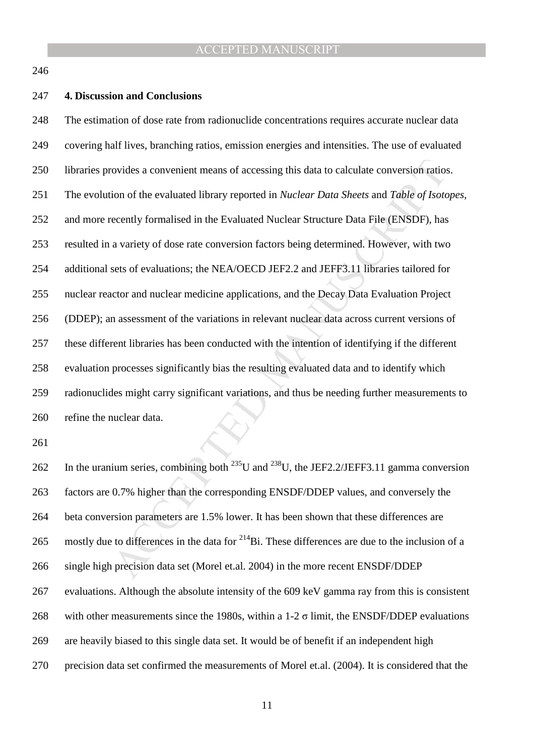246

#### 247 **4. Discussion and Conclusions**

ovides a convenient means of accessing this data to calculate conversion ratio<br>ion of the evaluated library reported in *Nuclear Data Sheets* and *Table of Isoto*<br>ceently formalised in the Evaluated Nuclear Structure Data 248 The estimation of dose rate from radionuclide concentrations requires accurate nuclear data 249 covering half lives, branching ratios, emission energies and intensities. The use of evaluated 250 libraries provides a convenient means of accessing this data to calculate conversion ratios. 251 The evolution of the evaluated library reported in *Nuclear Data Sheets* and *Table of Isotopes*, 252 and more recently formalised in the Evaluated Nuclear Structure Data File (ENSDF), has 253 resulted in a variety of dose rate conversion factors being determined. However, with two 254 additional sets of evaluations; the NEA/OECD JEF2.2 and JEFF3.11 libraries tailored for 255 nuclear reactor and nuclear medicine applications, and the Decay Data Evaluation Project 256 (DDEP); an assessment of the variations in relevant nuclear data across current versions of 257 these different libraries has been conducted with the intention of identifying if the different 258 evaluation processes significantly bias the resulting evaluated data and to identify which 259 radionuclides might carry significant variations, and thus be needing further measurements to 260 refine the nuclear data.

261

262 In the uranium series, combining both  $^{235}$ U and  $^{238}$ U, the JEF2.2/JEFF3.11 gamma conversion 263 factors are 0.7% higher than the corresponding ENSDF/DDEP values, and conversely the 264 beta conversion parameters are 1.5% lower. It has been shown that these differences are 265 mostly due to differences in the data for  $^{214}$ Bi. These differences are due to the inclusion of a 266 single high precision data set (Morel et.al. 2004) in the more recent ENSDF/DDEP 267 evaluations. Although the absolute intensity of the 609 keV gamma ray from this is consistent 268 with other measurements since the 1980s, within a 1-2  $\sigma$  limit, the ENSDF/DDEP evaluations 269 are heavily biased to this single data set. It would be of benefit if an independent high 270 precision data set confirmed the measurements of Morel et.al. (2004). It is considered that the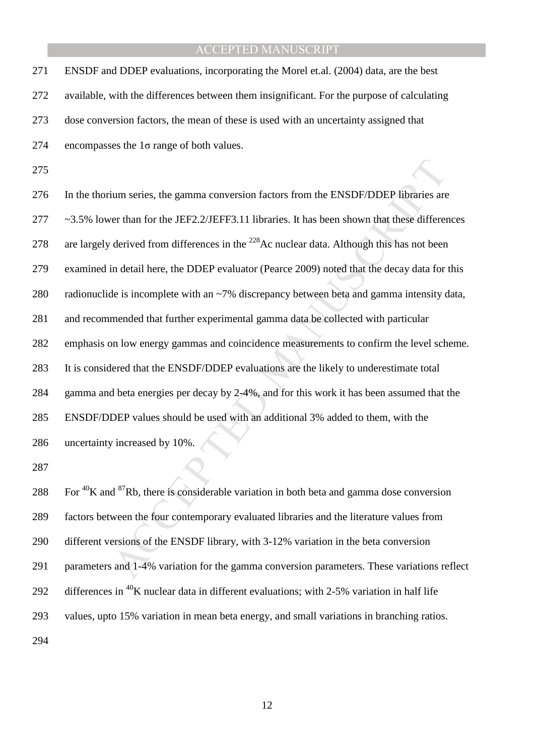271 ENSDF and DDEP evaluations, incorporating the Morel et.al. (2004) data, are the best 272 available, with the differences between them insignificant. For the purpose of calculating 273 dose conversion factors, the mean of these is used with an uncertainty assigned that 274 encompasses the  $1\sigma$  range of both values.

275

ium series, the gamma conversion factors from the ENSDF/DDEP libraries are<br>ret than for the JEF2.2/JEFF3.11 libraries. It has been shown that these different<br>derived from differences in the <sup>228</sup>Ac nuclear data. Although 276 In the thorium series, the gamma conversion factors from the ENSDF/DDEP libraries are 277 ~3.5% lower than for the JEF2.2/JEFF3.11 libraries. It has been shown that these differences 278 are largely derived from differences in the <sup>228</sup> Ac nuclear data. Although this has not been 279 examined in detail here, the DDEP evaluator (Pearce 2009) noted that the decay data for this 280 radionuclide is incomplete with an ~7% discrepancy between beta and gamma intensity data, 281 and recommended that further experimental gamma data be collected with particular 282 emphasis on low energy gammas and coincidence measurements to confirm the level scheme. 283 It is considered that the ENSDF/DDEP evaluations are the likely to underestimate total 284 gamma and beta energies per decay by 2-4%, and for this work it has been assumed that the 285 ENSDF/DDEP values should be used with an additional 3% added to them, with the 286 uncertainty increased by 10%.

287

288 For  ${}^{40}$ K and  ${}^{87}$ Rb, there is considerable variation in both beta and gamma dose conversion 289 factors between the four contemporary evaluated libraries and the literature values from 290 different versions of the ENSDF library, with 3-12% variation in the beta conversion 291 parameters and 1-4% variation for the gamma conversion parameters. These variations reflect 292 differences in  ${}^{40}$ K nuclear data in different evaluations; with 2-5% variation in half life 293 values, upto 15% variation in mean beta energy, and small variations in branching ratios. 294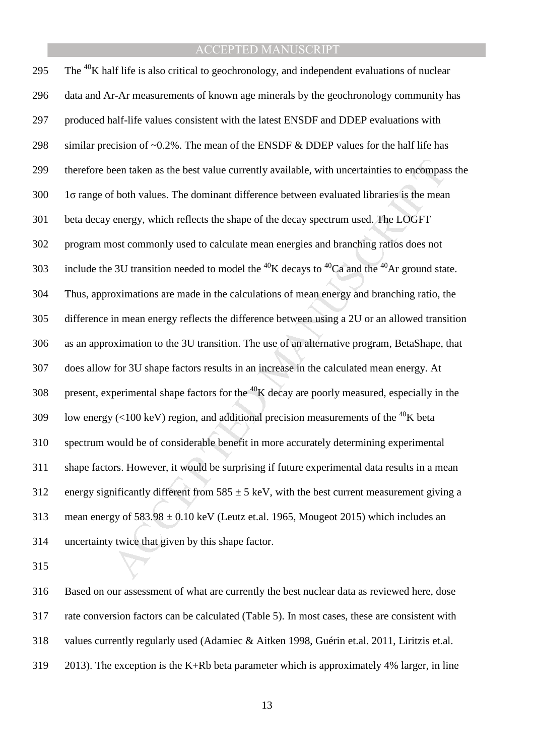een taken as the best value currently available, with uncertainties to encompase<br>f both values. The dominant difference between evaluated libraries is the mear<br>energy, which reflects the shape of the decay spectrum used. 295 The  $^{40}$ K half life is also critical to geochronology, and independent evaluations of nuclear 296 data and Ar-Ar measurements of known age minerals by the geochronology community has 297 produced half-life values consistent with the latest ENSDF and DDEP evaluations with 298 similar precision of  $\sim 0.2\%$ . The mean of the ENSDF & DDEP values for the half life has 299 therefore been taken as the best value currently available, with uncertainties to encompass the  $300$  1 $\sigma$  range of both values. The dominant difference between evaluated libraries is the mean 301 beta decay energy, which reflects the shape of the decay spectrum used. The LOGFT 302 program most commonly used to calculate mean energies and branching ratios does not 303 include the 3U transition needed to model the  ${}^{40}$ K decays to  ${}^{40}$ Ca and the  ${}^{40}$ Ar ground state. 304 Thus, approximations are made in the calculations of mean energy and branching ratio, the 305 difference in mean energy reflects the difference between using a 2U or an allowed transition 306 as an approximation to the 3U transition. The use of an alternative program, BetaShape, that 307 does allow for 3U shape factors results in an increase in the calculated mean energy. At 308 present, experimental shape factors for the  ${}^{40}$ K decay are poorly measured, especially in the 109 Iow energy (<100 keV) region, and additional precision measurements of the <sup>40</sup>K beta 310 spectrum would be of considerable benefit in more accurately determining experimental 311 shape factors. However, it would be surprising if future experimental data results in a mean 312 energy significantly different from  $585 \pm 5$  keV, with the best current measurement giving a 313 mean energy of  $583.98 \pm 0.10$  keV (Leutz et.al. 1965, Mougeot 2015) which includes an 314 uncertainty twice that given by this shape factor.

315

316 Based on our assessment of what are currently the best nuclear data as reviewed here, dose 317 rate conversion factors can be calculated (Table 5). In most cases, these are consistent with 318 values currently regularly used (Adamiec & Aitken 1998, Guérin et.al. 2011, Liritzis et.al. 319 2013). The exception is the K+Rb beta parameter which is approximately 4% larger, in line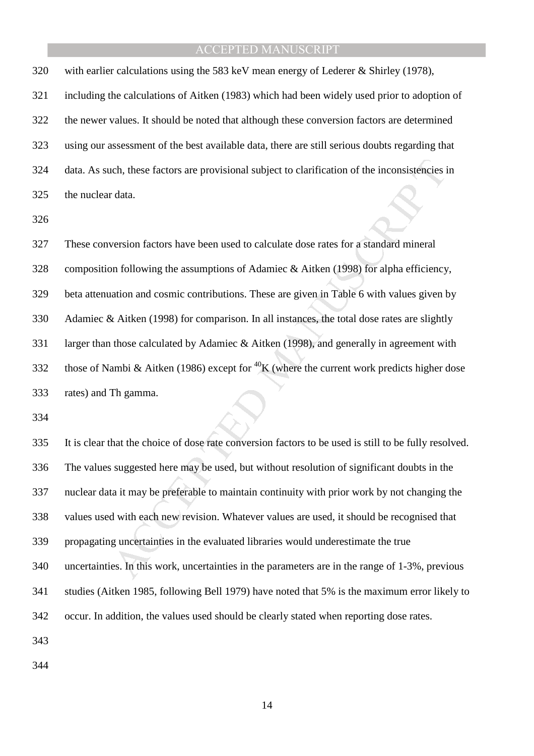320 with earlier calculations using the 583 keV mean energy of Lederer & Shirley (1978), 321 including the calculations of Aitken (1983) which had been widely used prior to adoption of 322 the newer values. It should be noted that although these conversion factors are determined 323 using our assessment of the best available data, there are still serious doubts regarding that 324 data. As such, these factors are provisional subject to clarification of the inconsistencies in 325 the nuclear data.

326

ich, these factors are provisional subject to clarification of the inconsistencies if data.<br>
version factors have been used to calculate dose rates for a standard mineral<br>
m following the assumptions of Adamiec & Aitken ( 327 These conversion factors have been used to calculate dose rates for a standard mineral 328 composition following the assumptions of Adamiec & Aitken (1998) for alpha efficiency, 329 beta attenuation and cosmic contributions. These are given in Table 6 with values given by 330 Adamiec & Aitken (1998) for comparison. In all instances, the total dose rates are slightly 331 larger than those calculated by Adamiec & Aitken (1998), and generally in agreement with 332 those of Nambi & Aitken (1986) except for <sup>40</sup>K (where the current work predicts higher dose 333 rates) and Th gamma.

334

335 It is clear that the choice of dose rate conversion factors to be used is still to be fully resolved. 336 The values suggested here may be used, but without resolution of significant doubts in the 337 nuclear data it may be preferable to maintain continuity with prior work by not changing the 338 values used with each new revision. Whatever values are used, it should be recognised that 339 propagating uncertainties in the evaluated libraries would underestimate the true 340 uncertainties. In this work, uncertainties in the parameters are in the range of 1-3%, previous 341 studies (Aitken 1985, following Bell 1979) have noted that 5% is the maximum error likely to 342 occur. In addition, the values used should be clearly stated when reporting dose rates. 343

344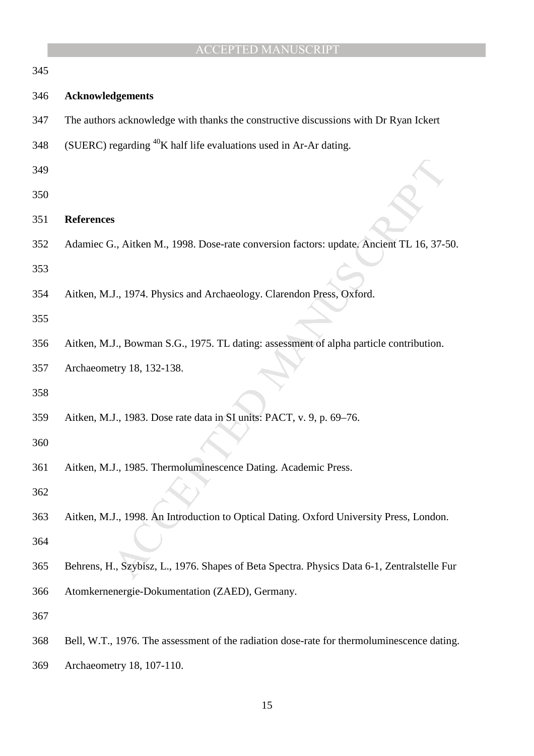|     | <b>ACCEPTED MANUSCRIPT</b>                                                                  |
|-----|---------------------------------------------------------------------------------------------|
| 345 |                                                                                             |
| 346 | <b>Acknowledgements</b>                                                                     |
| 347 | The authors acknowledge with thanks the constructive discussions with Dr Ryan Ickert        |
| 348 | (SUERC) regarding <sup>40</sup> K half life evaluations used in Ar-Ar dating.               |
| 349 |                                                                                             |
| 350 |                                                                                             |
| 351 | <b>References</b>                                                                           |
| 352 | Adamiec G., Aitken M., 1998. Dose-rate conversion factors: update. Ancient TL 16, 37-50.    |
| 353 |                                                                                             |
| 354 | Aitken, M.J., 1974. Physics and Archaeology. Clarendon Press, Oxford.                       |
| 355 |                                                                                             |
| 356 | Aitken, M.J., Bowman S.G., 1975. TL dating: assessment of alpha particle contribution.      |
| 357 | Archaeometry 18, 132-138.                                                                   |
| 358 |                                                                                             |
| 359 | Aitken, M.J., 1983. Dose rate data in SI units: PACT, v. 9, p. 69-76.                       |
| 360 |                                                                                             |
| 361 | Aitken, M.J., 1985. Thermoluminescence Dating. Academic Press.                              |
| 362 |                                                                                             |
| 363 | Aitken, M.J., 1998. An Introduction to Optical Dating. Oxford University Press, London.     |
| 364 |                                                                                             |
| 365 | Behrens, H., Szybisz, L., 1976. Shapes of Beta Spectra. Physics Data 6-1, Zentralstelle Fur |
| 366 | Atomkernenergie-Dokumentation (ZAED), Germany.                                              |
| 367 |                                                                                             |
| 368 | Bell, W.T., 1976. The assessment of the radiation dose-rate for thermoluminescence dating.  |
| 369 | Archaeometry 18, 107-110.                                                                   |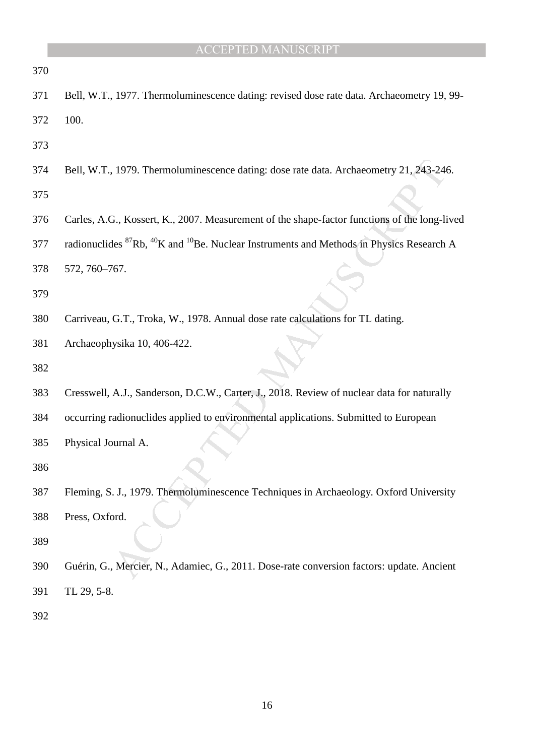|     | <b>ACCEPTED MANUSCRIPT</b>                                                                                                  |
|-----|-----------------------------------------------------------------------------------------------------------------------------|
| 370 |                                                                                                                             |
| 371 | Bell, W.T., 1977. Thermoluminescence dating: revised dose rate data. Archaeometry 19, 99-                                   |
| 372 | 100.                                                                                                                        |
| 373 |                                                                                                                             |
| 374 | Bell, W.T., 1979. Thermoluminescence dating: dose rate data. Archaeometry 21, 243-246.                                      |
| 375 |                                                                                                                             |
| 376 | Carles, A.G., Kossert, K., 2007. Measurement of the shape-factor functions of the long-lived                                |
| 377 | radionuclides <sup>87</sup> Rb, <sup>40</sup> K and <sup>10</sup> Be. Nuclear Instruments and Methods in Physics Research A |
| 378 | 572, 760-767.                                                                                                               |
| 379 |                                                                                                                             |
| 380 | Carriveau, G.T., Troka, W., 1978. Annual dose rate calculations for TL dating.                                              |
| 381 | Archaeophysika 10, 406-422.                                                                                                 |
| 382 |                                                                                                                             |
| 383 | Cresswell, A.J., Sanderson, D.C.W., Carter, J., 2018. Review of nuclear data for naturally                                  |
| 384 | occurring radionuclides applied to environmental applications. Submitted to European                                        |
| 385 | Physical Journal A.                                                                                                         |
| 386 |                                                                                                                             |
| 387 | Fleming, S. J., 1979. Thermoluminescence Techniques in Archaeology. Oxford University                                       |
| 388 | Press, Oxford.                                                                                                              |
| 389 |                                                                                                                             |
| 390 | Guérin, G., Mercier, N., Adamiec, G., 2011. Dose-rate conversion factors: update. Ancient                                   |
| 391 | TL 29, 5-8.                                                                                                                 |
| 392 |                                                                                                                             |
|     |                                                                                                                             |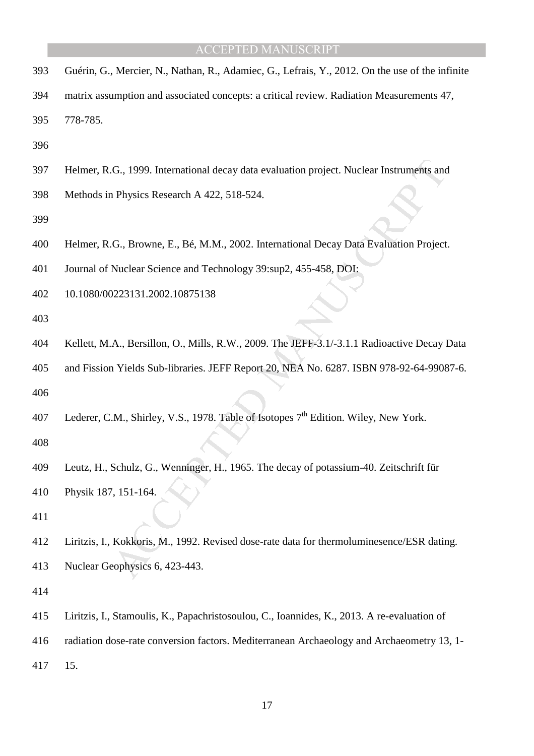- 393 Guérin, G., Mercier, N., Nathan, R., Adamiec, G., Lefrais, Y., 2012. On the use of the infinite
- 394 matrix assumption and associated concepts: a critical review. Radiation Measurements 47, 395 778-785.
- 396
- 397 Helmer, R.G., 1999. International decay data evaluation project. Nuclear Instruments and
- 398 Methods in Physics Research A 422, 518-524.
- 399
- 400 Helmer, R.G., Browne, E., Bé, M.M., 2002. International Decay Data Evaluation Project.
- 401 Journal of Nuclear Science and Technology 39:sup2, 455-458, DOI:
- 402 10.1080/00223131.2002.10875138
- 403
- 404 Kellett, M.A., Bersillon, O., Mills, R.W., 2009. The JEFF-3.1/-3.1.1 Radioactive Decay Data
- 405 and Fission Yields Sub-libraries. JEFF Report 20, NEA No. 6287. ISBN 978-92-64-99087-6.
- 406
- 407 Lederer, C.M., Shirley, V.S., 1978. Table of Isotopes 7<sup>th</sup> Edition. Wiley, New York.
- 408
- 409 Leutz, H., Schulz, G., Wenninger, H., 1965. The decay of potassium-40. Zeitschrift für
- 410 Physik 187, 151-164.
- 411
- (G., 1999. International decay data evaluation project. Nuclear Instruments and Physics Research A 422, 518-524.<br>
(G., Browne, E., Bé, M.M., 2002. International Decay Data Evaluation Project<br>
Nuclear Science and Technology 412 Liritzis, I., Kokkoris, M., 1992. Revised dose-rate data for thermoluminesence/ESR dating. 413 Nuclear Geophysics 6, 423-443.
- 414
- 415 Liritzis, I., Stamoulis, K., Papachristosoulou, C., Ioannides, K., 2013. A re-evaluation of
- 416 radiation dose-rate conversion factors. Mediterranean Archaeology and Archaeometry 13, 1-
- 417 15.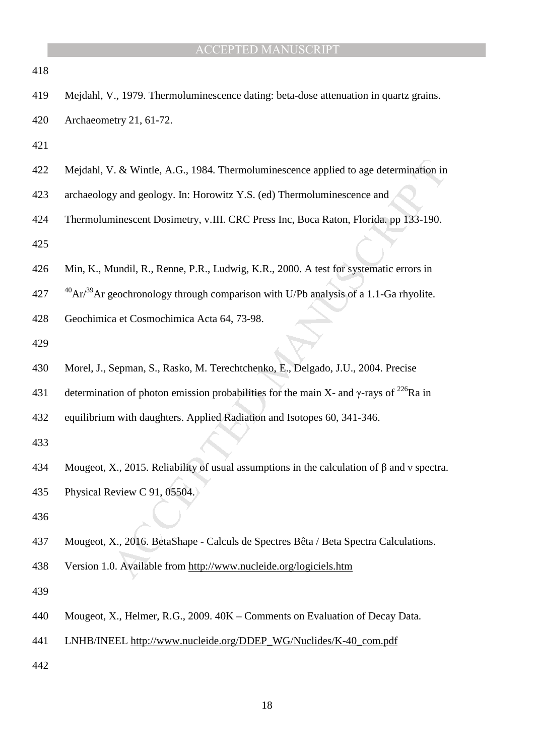| 418 |                                                                                                           |
|-----|-----------------------------------------------------------------------------------------------------------|
| 419 | Mejdahl, V., 1979. Thermoluminescence dating: beta-dose attenuation in quartz grains.                     |
| 420 | Archaeometry 21, 61-72.                                                                                   |
| 421 |                                                                                                           |
| 422 | Mejdahl, V. & Wintle, A.G., 1984. Thermoluminescence applied to age determination in                      |
| 423 | archaeology and geology. In: Horowitz Y.S. (ed) Thermoluminescence and                                    |
| 424 | Thermoluminescent Dosimetry, v.III. CRC Press Inc, Boca Raton, Florida. pp 133-190.                       |
| 425 |                                                                                                           |
| 426 | Min, K., Mundil, R., Renne, P.R., Ludwig, K.R., 2000. A test for systematic errors in                     |
| 427 | $^{40}Ar/^{39}Ar$ geochronology through comparison with U/Pb analysis of a 1.1-Ga rhyolite.               |
| 428 | Geochimica et Cosmochimica Acta 64, 73-98.                                                                |
| 429 |                                                                                                           |
| 430 | Morel, J., Sepman, S., Rasko, M. Terechtchenko, E., Delgado, J.U., 2004. Precise                          |
| 431 | determination of photon emission probabilities for the main X- and $\gamma$ -rays of <sup>226</sup> Ra in |
| 432 | equilibrium with daughters. Applied Radiation and Isotopes 60, 341-346.                                   |
| 433 |                                                                                                           |
| 434 | Mougeot, X., 2015. Reliability of usual assumptions in the calculation of $\beta$ and v spectra.          |
| 435 | Physical Review C 91, 05504.                                                                              |
| 436 |                                                                                                           |
| 437 | Mougeot, X., 2016. BetaShape - Calculs de Spectres Bêta / Beta Spectra Calculations.                      |
| 438 | Version 1.0. Available from http://www.nucleide.org/logiciels.htm                                         |
| 439 |                                                                                                           |
| 440 | Mougeot, X., Helmer, R.G., 2009. 40K – Comments on Evaluation of Decay Data.                              |
| 441 | LNHB/INEEL http://www.nucleide.org/DDEP_WG/Nuclides/K-40_com.pdf                                          |
| 442 |                                                                                                           |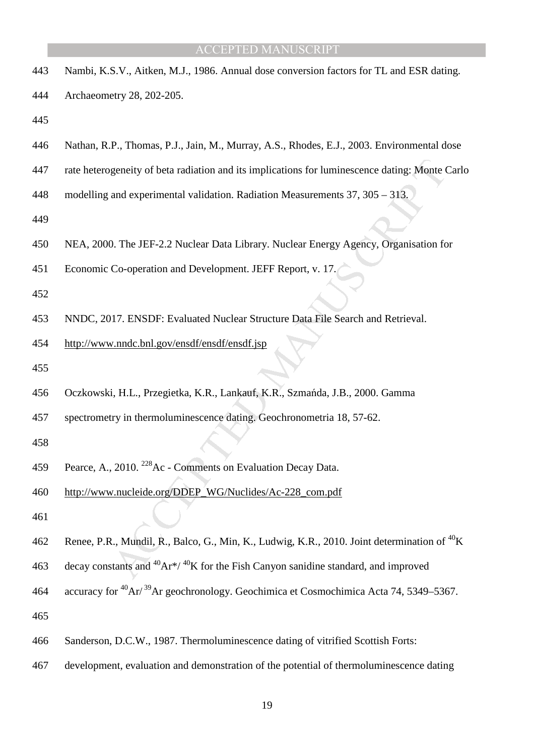| 443 | Nambi, K.S.V., Aitken, M.J., 1986. Annual dose conversion factors for TL and ESR dating.                      |
|-----|---------------------------------------------------------------------------------------------------------------|
| 444 | Archaeometry 28, 202-205.                                                                                     |
| 445 |                                                                                                               |
| 446 | Nathan, R.P., Thomas, P.J., Jain, M., Murray, A.S., Rhodes, E.J., 2003. Environmental dose                    |
| 447 | rate heterogeneity of beta radiation and its implications for luminescence dating: Monte Carlo                |
| 448 | modelling and experimental validation. Radiation Measurements $37$ , $305 - 313$ .                            |
| 449 |                                                                                                               |
| 450 | NEA, 2000. The JEF-2.2 Nuclear Data Library. Nuclear Energy Agency, Organisation for                          |
| 451 | Economic Co-operation and Development. JEFF Report, v. 17.                                                    |
| 452 |                                                                                                               |
| 453 | NNDC, 2017. ENSDF: Evaluated Nuclear Structure Data File Search and Retrieval.                                |
| 454 | http://www.nndc.bnl.gov/ensdf/ensdf/ensdf.jsp                                                                 |
| 455 |                                                                                                               |
| 456 | Oczkowski, H.L., Przegietka, K.R., Lankauf, K.R., Szmańda, J.B., 2000. Gamma                                  |
| 457 | spectrometry in thermoluminescence dating. Geochronometria 18, 57-62.                                         |
| 458 |                                                                                                               |
| 459 | Pearce, A., 2010. <sup>228</sup> Ac - Comments on Evaluation Decay Data.                                      |
| 460 | http://www.nucleide.org/DDEP_WG/Nuclides/Ac-228_com.pdf                                                       |
| 461 |                                                                                                               |
| 462 | Renee, P.R., Mundil, R., Balco, G., Min, K., Ludwig, K.R., 2010. Joint determination of <sup>40</sup> K       |
| 463 | decay constants and ${}^{40}Ar^{*/}$ ${}^{40}K$ for the Fish Canyon sanidine standard, and improved           |
| 464 | accuracy for <sup>40</sup> Ar/ <sup>39</sup> Ar geochronology. Geochimica et Cosmochimica Acta 74, 5349–5367. |
| 465 |                                                                                                               |
| 466 | Sanderson, D.C.W., 1987. Thermoluminescence dating of vitrified Scottish Forts:                               |
| 467 | development, evaluation and demonstration of the potential of thermoluminescence dating                       |
|     |                                                                                                               |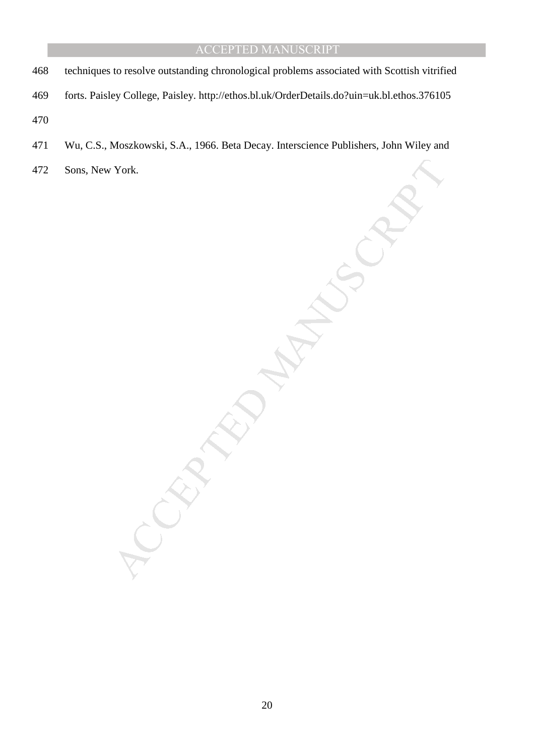- 468 techniques to resolve outstanding chronological problems associated with Scottish vitrified
- 469 forts. Paisley College, Paisley. http://ethos.bl.uk/OrderDetails.do?uin=uk.bl.ethos.376105
- 470
- 471 Wu, C.S., Moszkowski, S.A., 1966. Beta Decay. Interscience Publishers, John Wiley and
- MANUSCRIPT 472 Sons, New York.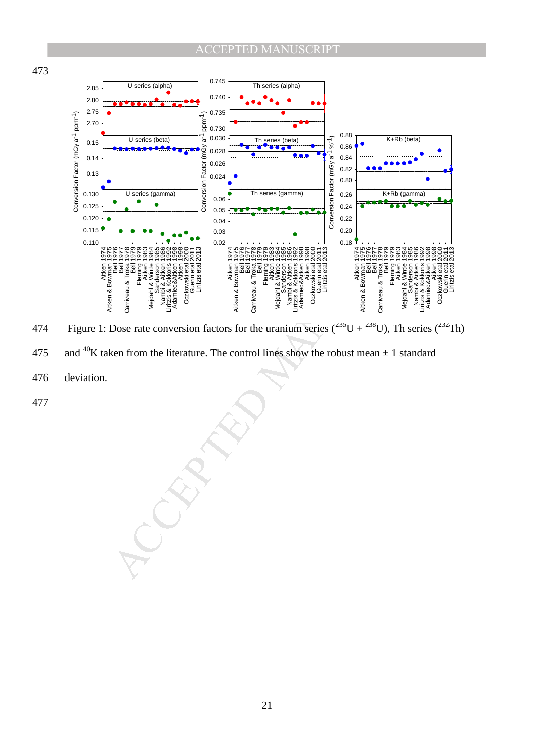

474 Figure 1: Dose rate conversion factors for the uranium series  $(^{235}U + ^{238}U)$ , Th series  $(^{232}Th)$ 

- 475 and <sup>40</sup>K taken from the literature. The control lines show the robust mean  $\pm$  1 standard
- 476 deviation.

477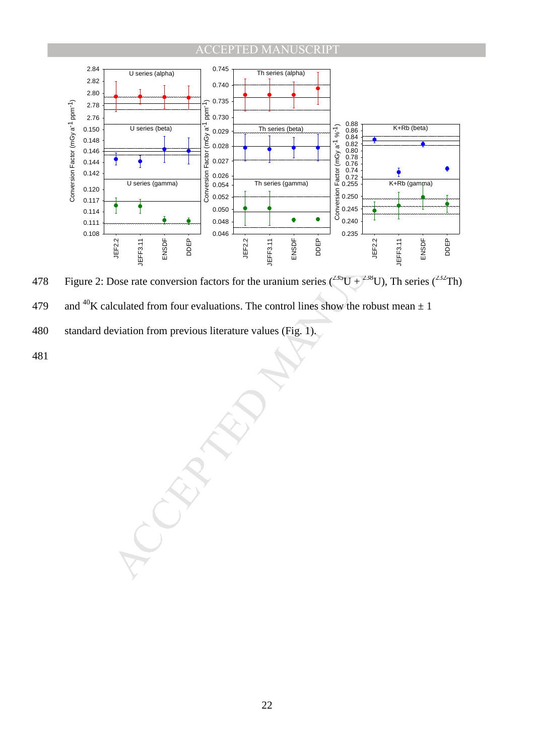

478 Figure 2: Dose rate conversion factors for the uranium series  $(^{235}U + ^{238}U)$ , Th series  $(^{232}Th)$ 

- 479 and <sup>40</sup>K calculated from four evaluations. The control lines show the robust mean  $\pm 1$
- 480 standard deviation from previous literature values (Fig. 1).
- 481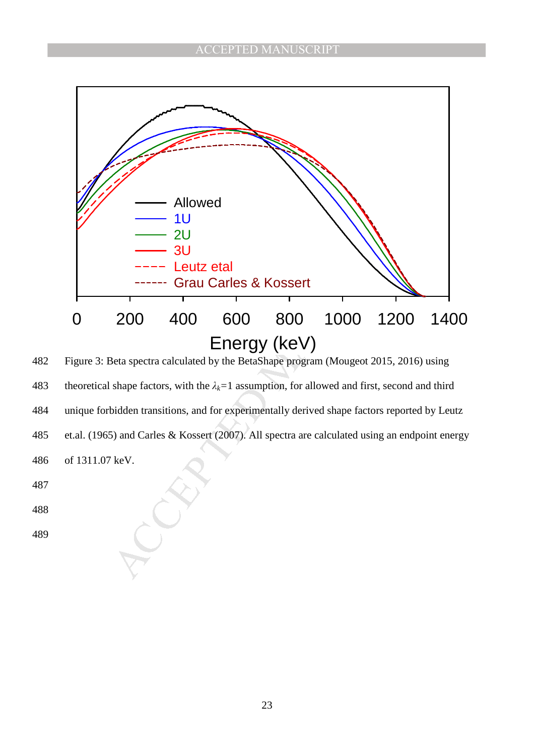

482 Figure 3: Beta spectra calculated by the BetaShape program (Mougeot 2015, 2016) using 483 theoretical shape factors, with the  $\lambda_k = 1$  assumption, for allowed and first, second and third 484 unique forbidden transitions, and for experimentally derived shape factors reported by Leutz 485 et.al. (1965) and Carles & Kossert (2007). All spectra are calculated using an endpoint energy 486 of 1311.07 keV. 487

488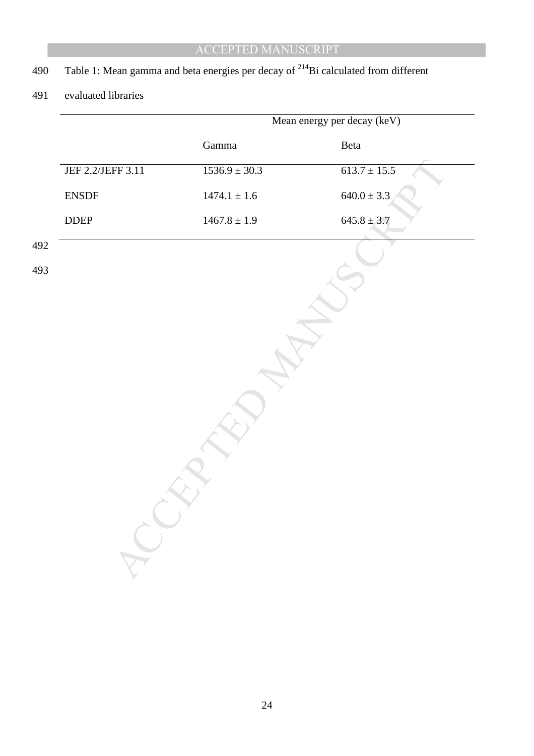# 490 Table 1: Mean gamma and beta energies per decay of  $^{214}$ Bi calculated from different

## 491 evaluated libraries

|                                                         |                   | Mean energy per decay (keV) |
|---------------------------------------------------------|-------------------|-----------------------------|
|                                                         | Gamma             | Beta                        |
| JEF 2.2/JEFF 3.11                                       | $1536.9 \pm 30.3$ | $613.7 \pm 15.5$            |
| ${\tt ENSDF}$                                           | $1474.1\pm1.6$    | $640.0 \pm 3.3$             |
| $\ensuremath{\mathsf{D}\mathsf{D}\mathsf{E}\mathsf{P}}$ | $1467.8\pm1.9$    | $645.8 \pm 3.7$             |
|                                                         |                   |                             |
|                                                         |                   |                             |
|                                                         |                   |                             |
|                                                         |                   |                             |
|                                                         |                   |                             |
|                                                         |                   |                             |
|                                                         |                   |                             |
|                                                         |                   |                             |
|                                                         |                   |                             |
|                                                         |                   |                             |
|                                                         |                   |                             |
|                                                         |                   |                             |
|                                                         |                   |                             |
|                                                         |                   |                             |
|                                                         |                   |                             |
|                                                         |                   |                             |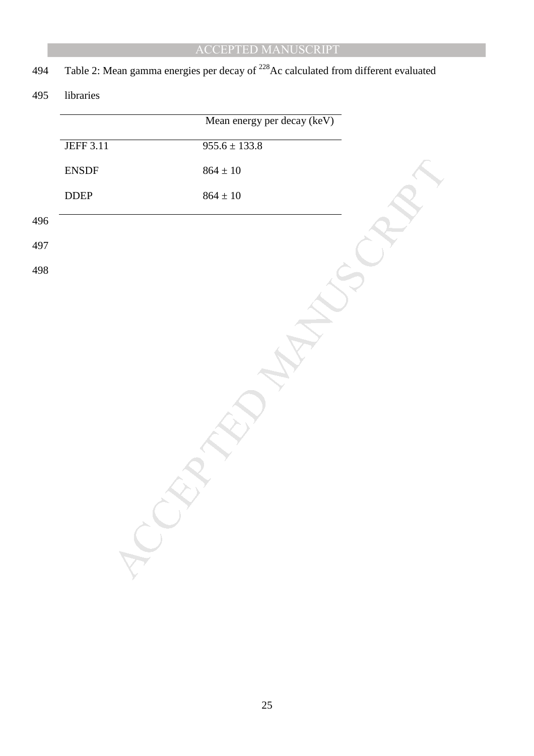# 494 Table 2: Mean gamma energies per decay of  $^{228}$ Ac calculated from different evaluated

495 libraries

|                                                         | Mean energy per decay (keV) |  |
|---------------------------------------------------------|-----------------------------|--|
| <b>JEFF 3.11</b>                                        | $955.6 \pm 133.8$           |  |
| ${\tt ENSDF}$                                           | $864 \pm 10$                |  |
| $\ensuremath{\mathsf{D}\mathsf{D}\mathsf{E}\mathsf{P}}$ | $864\pm10$                  |  |
|                                                         |                             |  |
|                                                         |                             |  |
|                                                         |                             |  |
|                                                         |                             |  |
|                                                         |                             |  |
|                                                         |                             |  |
|                                                         |                             |  |
|                                                         |                             |  |
|                                                         |                             |  |
|                                                         |                             |  |
|                                                         |                             |  |
|                                                         |                             |  |
|                                                         |                             |  |
| SP.                                                     |                             |  |
|                                                         |                             |  |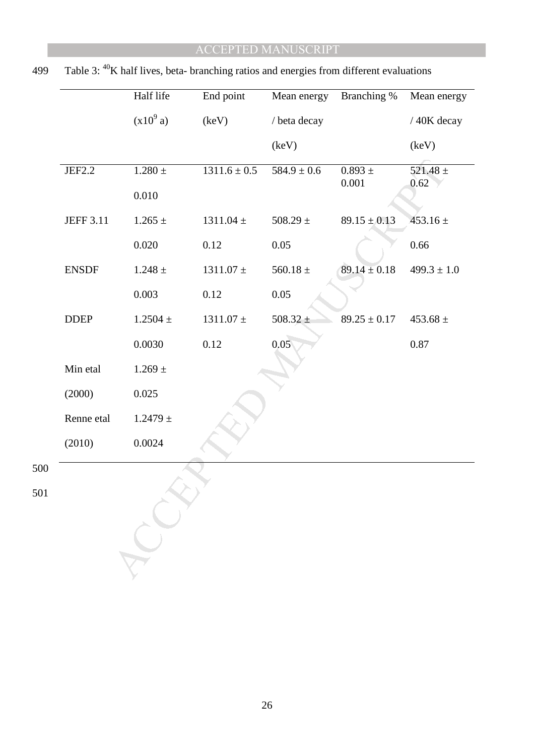|                  | Half life     | End point        | Mean energy     | Branching %          | Mean energy          |
|------------------|---------------|------------------|-----------------|----------------------|----------------------|
|                  | $(x10^9 a)$   | (keV)            | / beta decay    |                      | / 40K decay          |
|                  |               |                  | (key)           |                      | (key)                |
| JEF2.2           | $1.280$ $\pm$ | $1311.6 \pm 0.5$ | $584.9 \pm 0.6$ | $0.893 \pm$<br>0.001 | $521.48 \pm$<br>0.62 |
|                  | $0.010\,$     |                  |                 |                      |                      |
| <b>JEFF 3.11</b> | $1.265 \pm$   | $1311.04 \pm$    | $508.29 \pm$    | $89.15 \pm 0.13$     | $453.16 \pm$         |
|                  | 0.020         | 0.12             | 0.05            |                      | 0.66                 |
| <b>ENSDF</b>     | $1.248 \pm$   | $1311.07$ $\pm$  | $560.18 \pm$    | $89.14 \pm 0.18$     | $499.3 \pm 1.0$      |
|                  | 0.003         | 0.12             | 0.05            |                      |                      |
| <b>DDEP</b>      | $1.2504 \pm$  | $1311.07$ $\pm$  | $508.32 \pm$    | $89.25 \pm 0.17$     | $453.68 \pm$         |
|                  | 0.0030        | 0.12             | 0.05            |                      | 0.87                 |
| Min etal         | $1.269 \pm$   |                  |                 |                      |                      |
| (2000)           | 0.025         |                  |                 |                      |                      |
| Renne etal       | $1.2479 \pm$  |                  |                 |                      |                      |
| (2010)           | 0.0024        |                  |                 |                      |                      |
|                  |               |                  |                 |                      |                      |

|  | 499 Table 3: $^{40}$ K half lives, beta-branching ratios and energies from different evaluations |  |  |  |  |
|--|--------------------------------------------------------------------------------------------------|--|--|--|--|
|  |                                                                                                  |  |  |  |  |

500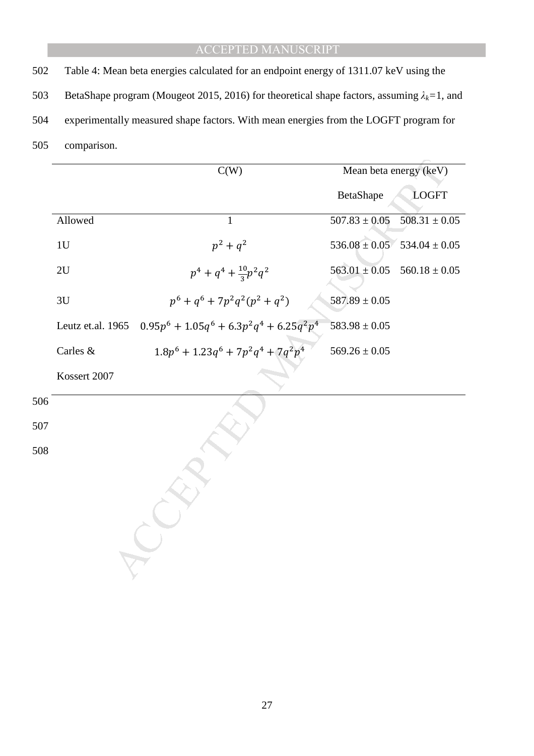502 Table 4: Mean beta energies calculated for an endpoint energy of 1311.07 keV using the

- 503 BetaShape program (Mougeot 2015, 2016) for theoretical shape factors, assuming  $\lambda_k = 1$ , and
- 504 experimentally measured shape factors. With mean energies from the LOGFT program for
- 505 comparison.

|     |                   | C(W)                                         | Mean beta energy (keV) |                                     |  |  |
|-----|-------------------|----------------------------------------------|------------------------|-------------------------------------|--|--|
|     |                   |                                              | BetaShape              | <b>LOGFT</b>                        |  |  |
|     | Allowed           | $\mathbf{1}$                                 | $507.83 \pm 0.05$      | $508.31 \pm 0.05$                   |  |  |
|     | 1U                | $p^2 + q^2$                                  |                        | $536.08 \pm 0.05$ $534.04 \pm 0.05$ |  |  |
|     | 2U                | $p^4 + q^4 + \frac{10}{3}p^2q^2$             | $563.01 \pm 0.05$      | $560.18 \pm 0.05$                   |  |  |
|     | 3U                | $p^6 + q^6 + 7p^2q^2(p^2 + q^2)$             | $587.89 \pm 0.05$      |                                     |  |  |
|     | Leutz et.al. 1965 | $0.95p^6 + 1.05q^6 + 6.3p^2q^4 + 6.25q^2p^4$ | $583.98 \pm 0.05$      |                                     |  |  |
|     | Carles &          | $1.8p^6 + 1.23q^6 + 7p^2q^4 + 7q^2p^4$       | $569.26 \pm 0.05$      |                                     |  |  |
|     | Kossert 2007      |                                              |                        |                                     |  |  |
| 506 |                   |                                              |                        |                                     |  |  |
| 507 |                   |                                              |                        |                                     |  |  |
| 508 |                   |                                              |                        |                                     |  |  |
|     |                   |                                              |                        |                                     |  |  |
|     |                   |                                              |                        |                                     |  |  |
|     |                   |                                              |                        |                                     |  |  |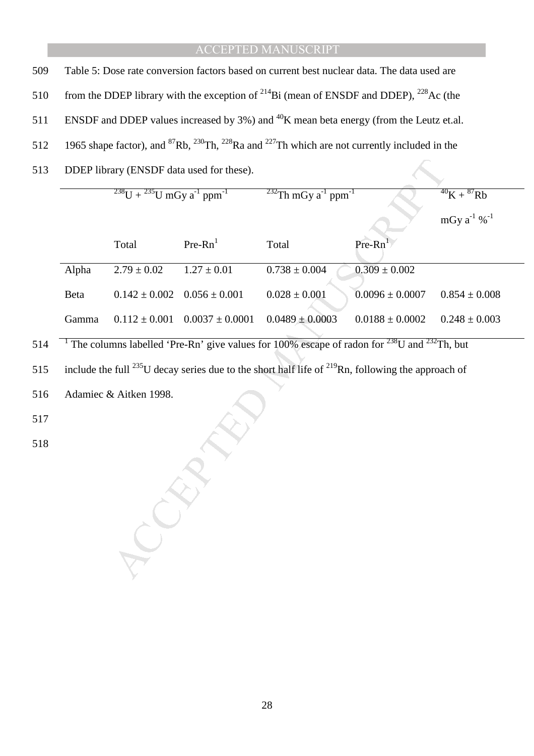| 509 | Table 5: Dose rate conversion factors based on current best nuclear data. The data used are                                                      |  |
|-----|--------------------------------------------------------------------------------------------------------------------------------------------------|--|
|     | 510 from the DDEP library with the exception of $^{214}$ Bi (mean of ENSDF and DDEP), $^{228}$ Ac (the                                           |  |
|     | 511 ENSDF and DDEP values increased by 3%) and <sup>40</sup> K mean beta energy (from the Leutz et.al.                                           |  |
|     | 512 1965 shape factor), and <sup>87</sup> Rb, <sup>230</sup> Th, <sup>228</sup> Ra and <sup>227</sup> Th which are not currently included in the |  |
|     | 513 DDEP library (ENSDF data used for these).                                                                                                    |  |

|                                                                                                               |                        | DDEP library (ENSDF data used for these). |                                                                                                        |                     |                        |  |  |  |
|---------------------------------------------------------------------------------------------------------------|------------------------|-------------------------------------------|--------------------------------------------------------------------------------------------------------|---------------------|------------------------|--|--|--|
| $^{238}$ U + $^{235}$ U mGy a <sup>-1</sup> ppm <sup>-1</sup>                                                 |                        |                                           | $232$ Th mGy a <sup>-1</sup> ppm <sup>-1</sup>                                                         |                     | $^{40}K + ^{87}Rb$     |  |  |  |
|                                                                                                               |                        |                                           |                                                                                                        |                     | mGy $a^{-1}$ % $^{-1}$ |  |  |  |
|                                                                                                               | Total                  | $Pre-Rn1$                                 | Total                                                                                                  | $Pre-Rn^1$          |                        |  |  |  |
| Alpha                                                                                                         | $2.79 \pm 0.02$        | $1.27 \pm 0.01$                           | $0.738\pm0.004$                                                                                        | $0.309 \pm 0.002$   |                        |  |  |  |
| Beta                                                                                                          | $0.142 \pm 0.002$      | $0.056 \pm 0.001$                         | $0.028 \pm 0.001$                                                                                      | $0.0096 \pm 0.0007$ | $0.854 \pm 0.008$      |  |  |  |
| Gamma                                                                                                         | $0.112 \pm 0.001$      | $0.0037 \pm 0.0001$                       | $0.0489 \pm 0.0003$                                                                                    | $0.0188 \pm 0.0002$ | $0.248 \pm 0.003$      |  |  |  |
|                                                                                                               |                        |                                           | The columns labelled 'Pre-Rn' give values for 100% escape of radon for $^{238}$ U and $^{232}$ Th, but |                     |                        |  |  |  |
| include the full $^{235}$ U decay series due to the short half life of $^{219}$ Rn, following the approach of |                        |                                           |                                                                                                        |                     |                        |  |  |  |
|                                                                                                               | Adamiec & Aitken 1998. |                                           |                                                                                                        |                     |                        |  |  |  |
|                                                                                                               |                        |                                           |                                                                                                        |                     |                        |  |  |  |
|                                                                                                               |                        |                                           |                                                                                                        |                     |                        |  |  |  |
|                                                                                                               |                        |                                           |                                                                                                        |                     |                        |  |  |  |
|                                                                                                               |                        |                                           |                                                                                                        |                     |                        |  |  |  |
|                                                                                                               |                        |                                           |                                                                                                        |                     |                        |  |  |  |
|                                                                                                               |                        |                                           |                                                                                                        |                     |                        |  |  |  |
|                                                                                                               |                        |                                           |                                                                                                        |                     |                        |  |  |  |
|                                                                                                               |                        |                                           |                                                                                                        |                     |                        |  |  |  |

517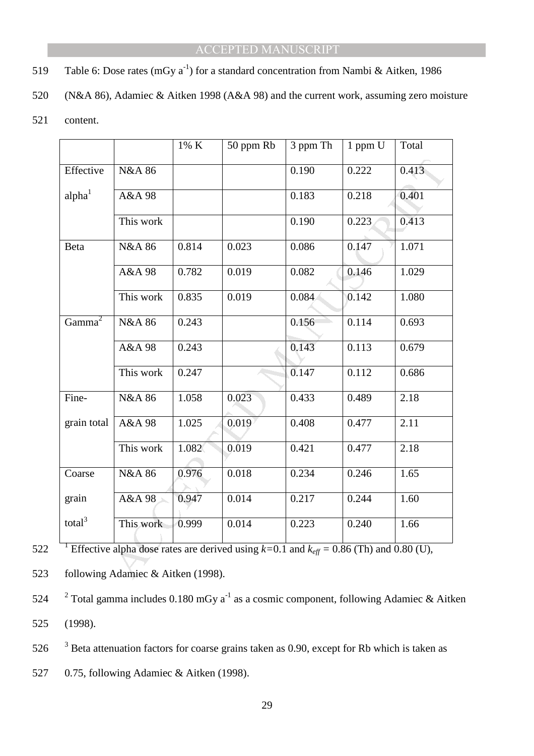- 519 Table 6: Dose rates (mGy  $a^{-1}$ ) for a standard concentration from Nambi & Aitken, 1986
- 520 (N&A 86), Adamiec & Aitken 1998 (A&A 98) and the current work, assuming zero moisture
- 521 content.

|                                                                                                                  |                   | 1% K  | 50 ppm Rb | 3 ppm Th | 1 ppm U | Total |  |  |  |  |
|------------------------------------------------------------------------------------------------------------------|-------------------|-------|-----------|----------|---------|-------|--|--|--|--|
| Effective                                                                                                        | <b>N&amp;A 86</b> |       |           | 0.190    | 0.222   | 0.413 |  |  |  |  |
| alpha <sup>1</sup>                                                                                               | A&A 98            |       |           | 0.183    | 0.218   | 0.401 |  |  |  |  |
|                                                                                                                  | This work         |       |           | 0.190    | 0.223   | 0.413 |  |  |  |  |
| Beta                                                                                                             | <b>N&amp;A 86</b> | 0.814 | 0.023     | 0.086    | 0.147   | 1.071 |  |  |  |  |
|                                                                                                                  | A&A 98            | 0.782 | 0.019     | 0.082    | 0.146   | 1.029 |  |  |  |  |
|                                                                                                                  | This work         | 0.835 | 0.019     | 0.084    | 0.142   | 1.080 |  |  |  |  |
| Gamma <sup>2</sup>                                                                                               | <b>N&amp;A 86</b> | 0.243 |           | 0.156    | 0.114   | 0.693 |  |  |  |  |
|                                                                                                                  | A&A 98            | 0.243 |           | 0.143    | 0.113   | 0.679 |  |  |  |  |
|                                                                                                                  | This work         | 0.247 |           | 0.147    | 0.112   | 0.686 |  |  |  |  |
| Fine-                                                                                                            | <b>N&amp;A 86</b> | 1.058 | 0.023     | 0.433    | 0.489   | 2.18  |  |  |  |  |
| grain total                                                                                                      | A&A 98            | 1.025 | 0.019     | 0.408    | 0.477   | 2.11  |  |  |  |  |
|                                                                                                                  | This work         | 1.082 | 0.019     | 0.421    | 0.477   | 2.18  |  |  |  |  |
| Coarse                                                                                                           | <b>N&amp;A 86</b> | 0.976 | 0.018     | 0.234    | 0.246   | 1.65  |  |  |  |  |
| grain                                                                                                            | A&A 98            | 0.947 | 0.014     | 0.217    | 0.244   | 1.60  |  |  |  |  |
| total <sup>3</sup>                                                                                               | This work         | 0.999 | 0.014     | 0.223    | 0.240   | 1.66  |  |  |  |  |
| <sup>1</sup> Effective alpha dose rates are derived using $k=0.1$ and $k_{\text{eff}} = 0.86$ (Th) and 0.80 (U), |                   |       |           |          |         |       |  |  |  |  |
| following Adamiec & Aitken (1998).                                                                               |                   |       |           |          |         |       |  |  |  |  |

522 **Effective alpha dose rates are derived using**  $k=0.1$  **and**  $k_{\text{eff}} = 0.86$  **(Th) and 0.80 (U),** 

523 following Adamiec & Aitken (1998).

- 524 <sup>2</sup> Total gamma includes 0.180 mGy  $a^{-1}$  as a cosmic component, following Adamiec & Aitken 525 (1998).
- 526  $3$  Beta attenuation factors for coarse grains taken as 0.90, except for Rb which is taken as
- 527 0.75, following Adamiec & Aitken (1998).